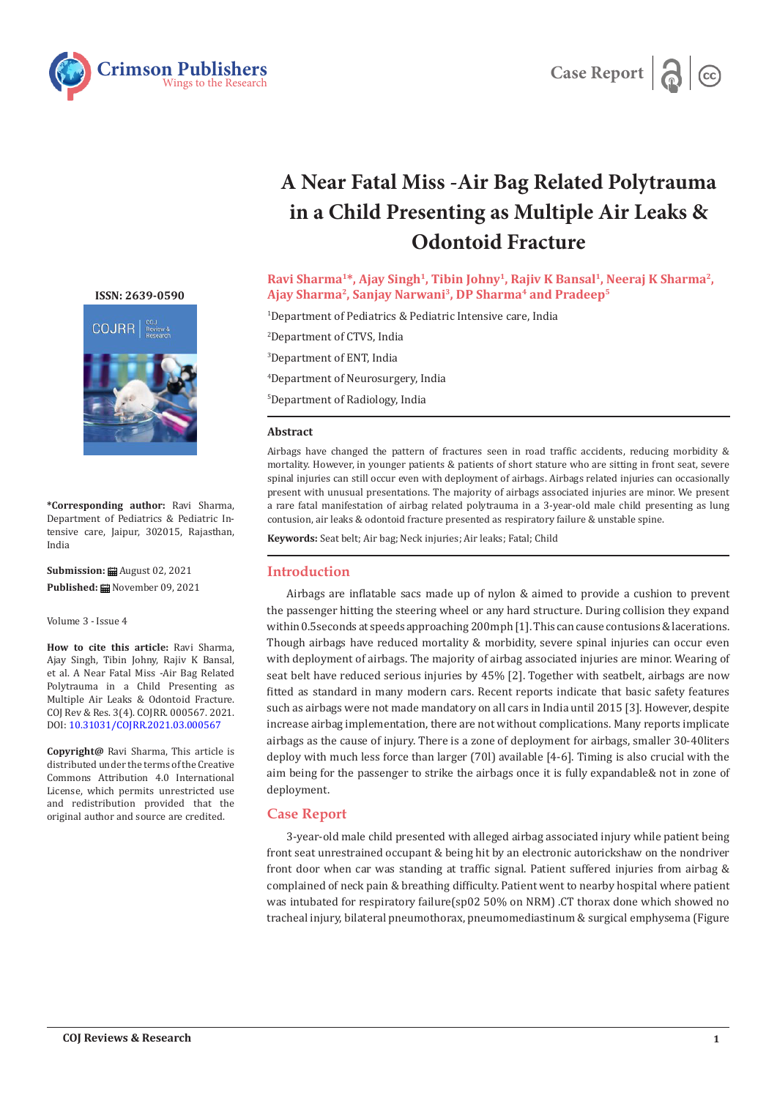



# **A Near Fatal Miss -Air Bag Related Polytrauma in a Child Presenting as Multiple Air Leaks & Odontoid Fracture**

**Ravi Sharma1\*, Ajay Singh1, Tibin Johny1, Rajiv K Bansal1, Neeraj K Sharma2, Ajay Sharma2, Sanjay Narwani3, DP Sharma4 and Pradeep5**

1 Department of Pediatrics & Pediatric Intensive care, India

 Department of CTVS, India Department of ENT, India Department of Neurosurgery, India Department of Radiology, India

#### **Abstract**

Airbags have changed the pattern of fractures seen in road traffic accidents, reducing morbidity & mortality. However, in younger patients & patients of short stature who are sitting in front seat, severe spinal injuries can still occur even with deployment of airbags. Airbags related injuries can occasionally present with unusual presentations. The majority of airbags associated injuries are minor. We present a rare fatal manifestation of airbag related polytrauma in a 3-year-old male child presenting as lung contusion, air leaks & odontoid fracture presented as respiratory failure & unstable spine.

**Keywords:** Seat belt; Air bag; Neck injuries; Air leaks; Fatal; Child

# **Introduction**

Airbags are inflatable sacs made up of nylon & aimed to provide a cushion to prevent the passenger hitting the steering wheel or any hard structure. During collision they expand within 0.5seconds at speeds approaching 200mph [1]. This can cause contusions & lacerations. Though airbags have reduced mortality & morbidity, severe spinal injuries can occur even with deployment of airbags. The majority of airbag associated injuries are minor. Wearing of seat belt have reduced serious injuries by 45% [2]. Together with seatbelt, airbags are now fitted as standard in many modern cars. Recent reports indicate that basic safety features such as airbags were not made mandatory on all cars in India until 2015 [3]. However, despite increase airbag implementation, there are not without complications. Many reports implicate airbags as the cause of injury. There is a zone of deployment for airbags, smaller 30-40liters deploy with much less force than larger (70l) available [4-6]. Timing is also crucial with the aim being for the passenger to strike the airbags once it is fully expandable& not in zone of deployment.

# **Case Report**

3-year-old male child presented with alleged airbag associated injury while patient being front seat unrestrained occupant & being hit by an electronic autorickshaw on the nondriver front door when car was standing at traffic signal. Patient suffered injuries from airbag & complained of neck pain & breathing difficulty. Patient went to nearby hospital where patient was intubated for respiratory failure(sp02 50% on NRM) .CT thorax done which showed no tracheal injury, bilateral pneumothorax, pneumomediastinum & surgical emphysema (Figure

**[ISSN: 2639-0590](https://www.crimsonpublishers.com/cojrr/)**



**\*Corresponding author:** Ravi Sharma, Department of Pediatrics & Pediatric Intensive care, Jaipur, 302015, Rajasthan, India

**Submission:** August 02, 2021 Published: **■**November 09, 2021

Volume 3 - Issue 4

**How to cite this article:** Ravi Sharma, Ajay Singh, Tibin Johny, Rajiv K Bansal, et al. A Near Fatal Miss -Air Bag Related Polytrauma in a Child Presenting as Multiple Air Leaks & Odontoid Fracture. COJ Rev & Res. 3(4). COJRR. 000567. 2021. DOI: [10.31031/COJRR.2021.03.000567](http://dx.doi.org/10.31031/COJRR.2021.03.000567)

**Copyright@** Ravi Sharma, This article is distributed under the terms of the Creative Commons Attribution 4.0 International License, which permits unrestricted use and redistribution provided that the original author and source are credited.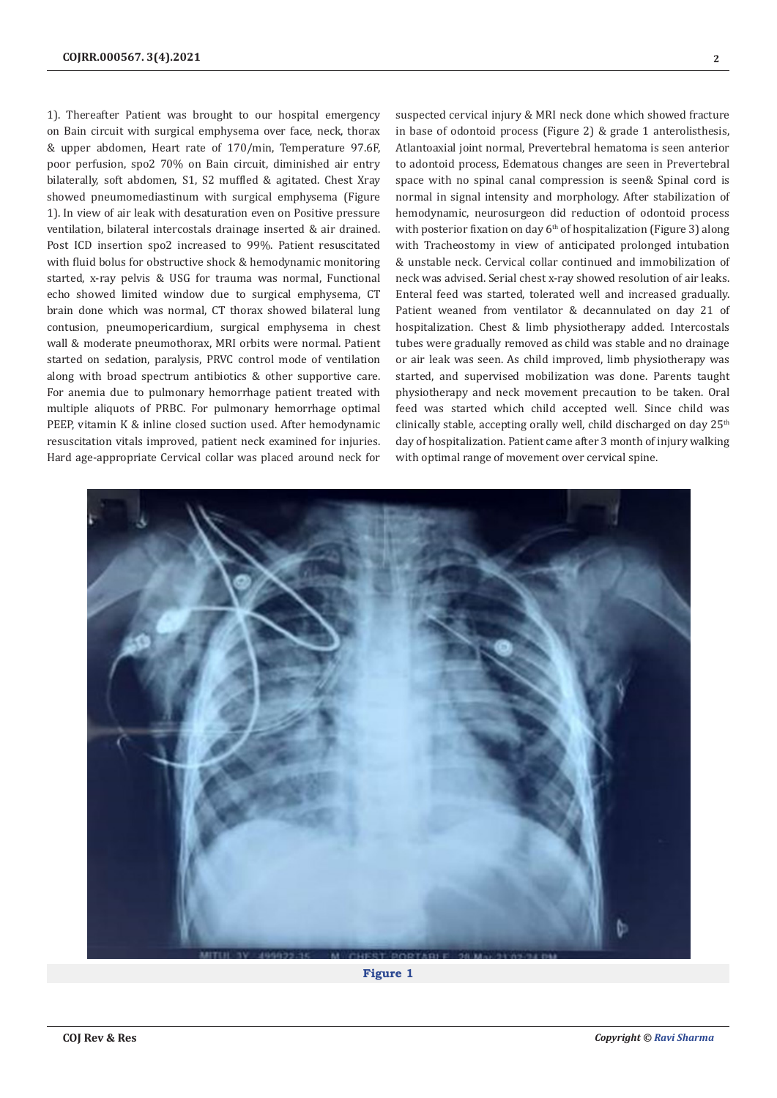1). Thereafter Patient was brought to our hospital emergency on Bain circuit with surgical emphysema over face, neck, thorax & upper abdomen, Heart rate of 170/min, Temperature 97.6F, poor perfusion, spo2 70% on Bain circuit, diminished air entry bilaterally, soft abdomen, S1, S2 muffled & agitated. Chest Xray showed pneumomediastinum with surgical emphysema (Figure 1). In view of air leak with desaturation even on Positive pressure ventilation, bilateral intercostals drainage inserted & air drained. Post ICD insertion spo2 increased to 99%. Patient resuscitated with fluid bolus for obstructive shock & hemodynamic monitoring started, x-ray pelvis & USG for trauma was normal, Functional echo showed limited window due to surgical emphysema, CT brain done which was normal, CT thorax showed bilateral lung contusion, pneumopericardium, surgical emphysema in chest wall & moderate pneumothorax, MRI orbits were normal. Patient started on sedation, paralysis, PRVC control mode of ventilation along with broad spectrum antibiotics & other supportive care. For anemia due to pulmonary hemorrhage patient treated with multiple aliquots of PRBC. For pulmonary hemorrhage optimal PEEP, vitamin K & inline closed suction used. After hemodynamic resuscitation vitals improved, patient neck examined for injuries. Hard age-appropriate Cervical collar was placed around neck for suspected cervical injury & MRI neck done which showed fracture in base of odontoid process (Figure 2) & grade 1 anterolisthesis, Atlantoaxial joint normal, Prevertebral hematoma is seen anterior to adontoid process, Edematous changes are seen in Prevertebral space with no spinal canal compression is seen& Spinal cord is normal in signal intensity and morphology. After stabilization of hemodynamic, neurosurgeon did reduction of odontoid process with posterior fixation on day 6<sup>th</sup> of hospitalization (Figure 3) along with Tracheostomy in view of anticipated prolonged intubation & unstable neck. Cervical collar continued and immobilization of neck was advised. Serial chest x-ray showed resolution of air leaks. Enteral feed was started, tolerated well and increased gradually. Patient weaned from ventilator & decannulated on day 21 of hospitalization. Chest & limb physiotherapy added. Intercostals tubes were gradually removed as child was stable and no drainage or air leak was seen. As child improved, limb physiotherapy was started, and supervised mobilization was done. Parents taught physiotherapy and neck movement precaution to be taken. Oral feed was started which child accepted well. Since child was clinically stable, accepting orally well, child discharged on day 25<sup>th</sup> day of hospitalization. Patient came after 3 month of injury walking with optimal range of movement over cervical spine.



**Figure 1**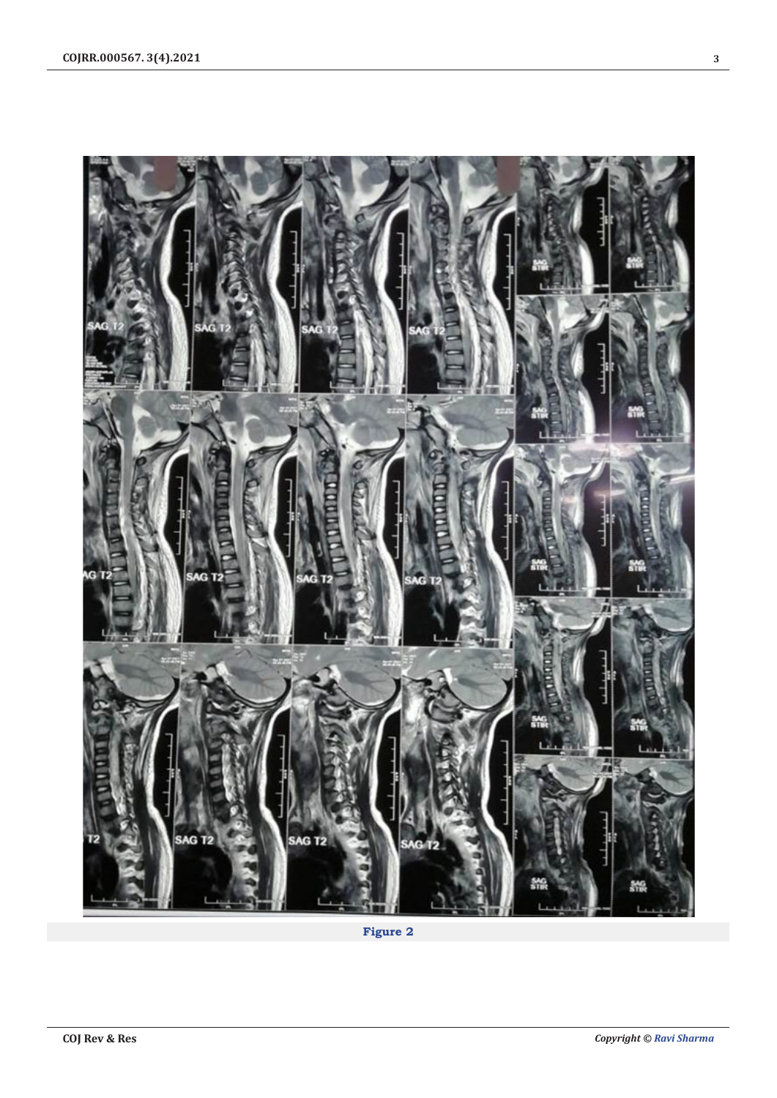

**Figure 2**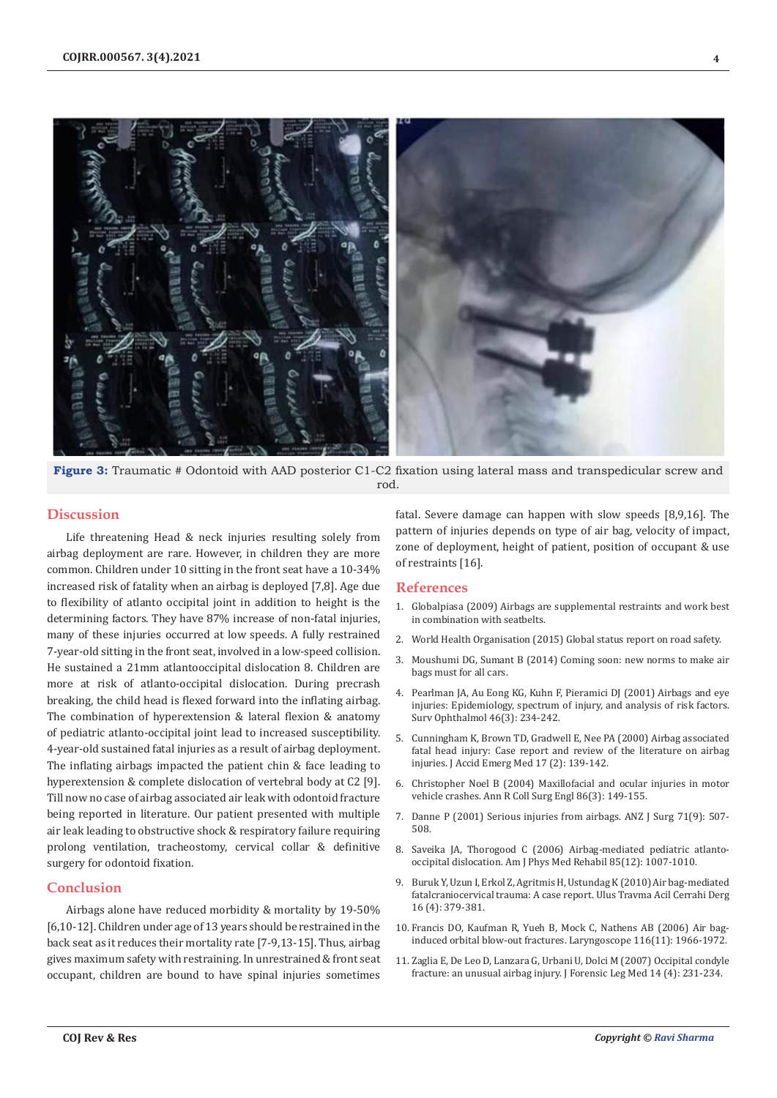

**Figure 3:** Traumatic # Odontoid with AAD posterior C1-C2 fixation using lateral mass and transpedicular screw and rod.

## **Discussion**

Life threatening Head & neck injuries resulting solely from airbag deployment are rare. However, in children they are more common. Children under 10 sitting in the front seat have a 10-34% increased risk of fatality when an airbag is deployed [7,8]. Age due to flexibility of atlanto occipital joint in addition to height is the determining factors. They have 87% increase of non-fatal injuries, many of these injuries occurred at low speeds. A fully restrained 7-year-old sitting in the front seat, involved in a low-speed collision. He sustained a 21mm atlantooccipital dislocation 8. Children are more at risk of atlanto-occipital dislocation. During precrash breaking, the child head is flexed forward into the inflating airbag. The combination of hyperextension & lateral flexion & anatomy of pediatric atlanto-occipital joint lead to increased susceptibility. 4-year-old sustained fatal injuries as a result of airbag deployment. The inflating airbags impacted the patient chin & face leading to hyperextension & complete dislocation of vertebral body at C2 [9]. Till now no case of airbag associated air leak with odontoid fracture being reported in literature. Our patient presented with multiple air leak leading to obstructive shock & respiratory failure requiring prolong ventilation, tracheostomy, cervical collar & definitive surgery for odontoid fixation.

## **Conclusion**

Airbags alone have reduced morbidity & mortality by 19-50% [6,10-12]. Children under age of 13 years should be restrained in the back seat as it reduces their mortality rate [7-9,13-15]. Thus, airbag gives maximum safety with restraining. In unrestrained & front seat occupant, children are bound to have spinal injuries sometimes

fatal. Severe damage can happen with slow speeds [8,9,16]. The pattern of injuries depends on type of air bag, velocity of impact, zone of deployment, height of patient, position of occupant & use of restraints [16].

#### **References**

- 1. Globalpiasa (2009) Airbags are supplemental restraints and work best in combination with seatbelts.
- 2. World Health Organisation (2015) Global status report on road safety.
- 3. Moushumi DG, Sumant B (2014) Coming soon: new norms to make air bags must for all cars.
- 4. [Pearlman JA, Au Eong KG, Kuhn F, Pieramici DJ \(2001\) Airbags and eye](https://pubmed.ncbi.nlm.nih.gov/11738430/) [injuries: Epidemiology, spectrum of injury, and analysis of risk factors.](https://pubmed.ncbi.nlm.nih.gov/11738430/) [Surv Ophthalmol 46\(3\): 234-242.](https://pubmed.ncbi.nlm.nih.gov/11738430/)
- 5. [Cunningham K, Brown TD, Gradwell E, Nee PA \(2000\) Airbag associated](https://pubmed.ncbi.nlm.nih.gov/10718243/) [fatal head injury: Case report and review of the literature on airbag](https://pubmed.ncbi.nlm.nih.gov/10718243/) [injuries. J Accid Emerg Med 17 \(2\): 139-142.](https://pubmed.ncbi.nlm.nih.gov/10718243/)
- 6. [Christopher Noel B \(2004\) Maxillofacial and ocular injuries in motor](https://pubmed.ncbi.nlm.nih.gov/15140296/) [vehicle crashes. Ann R Coll Surg Engl 86\(3\): 149-155.](https://pubmed.ncbi.nlm.nih.gov/15140296/)
- 7. [Danne P \(2001\) Serious injuries from airbags. ANZ J Surg 71\(9\): 507-](https://pubmed.ncbi.nlm.nih.gov/11527257/) [508.](https://pubmed.ncbi.nlm.nih.gov/11527257/)
- 8. [Saveika JA, Thorogood C \(2006\) Airbag-mediated pediatric atlanto](https://pubmed.ncbi.nlm.nih.gov/17117005/)[occipital dislocation. Am J Phys Med Rehabil 85\(12\): 1007-1010.](https://pubmed.ncbi.nlm.nih.gov/17117005/)
- 9. [Buruk Y, Uzun I, Erkol Z, Agritmis H, Ustundag K \(2010\) Air bag-mediated](https://pubmed.ncbi.nlm.nih.gov/20849061/) [fatalcraniocervical trauma: A case report. Ulus Travma Acil Cerrahi Derg](https://pubmed.ncbi.nlm.nih.gov/20849061/) [16 \(4\): 379-381.](https://pubmed.ncbi.nlm.nih.gov/20849061/)
- 10. [Francis DO, Kaufman R, Yueh B, Mock C, Nathens AB \(2006\) Air bag](https://pubmed.ncbi.nlm.nih.gov/17075425/)[induced orbital blow-out fractures. Laryngoscope 116\(11\): 1966-1972.](https://pubmed.ncbi.nlm.nih.gov/17075425/)
- 11. [Zaglia E, De Leo D, Lanzara G, Urbani U, Dolci M \(2007\) Occipital condyle](https://pubmed.ncbi.nlm.nih.gov/16934517/) [fracture: an unusual airbag injury. J Forensic Leg Med 14 \(4\): 231-234.](https://pubmed.ncbi.nlm.nih.gov/16934517/)